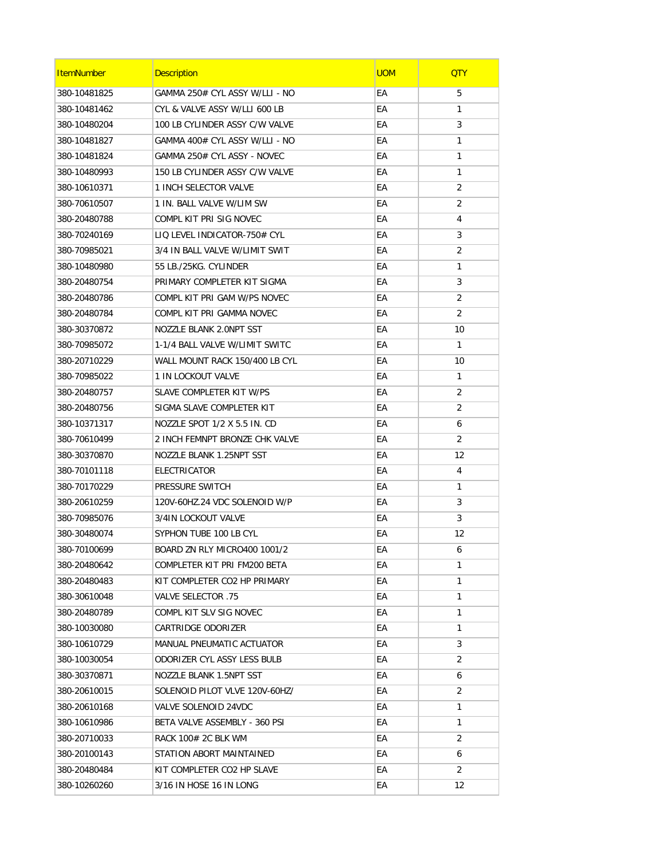| <b>ItemNumber</b> | <b>Description</b>             | <b>UOM</b> | <b>QTY</b> |
|-------------------|--------------------------------|------------|------------|
| 380-10481825      | GAMMA 250# CYL ASSY W/LLI - NO | EA         | 5          |
| 380-10481462      | CYL & VALVE ASSY W/LLI 600 LB  | EA         | 1          |
| 380-10480204      | 100 LB CYLINDER ASSY C/W VALVE | EА         | 3          |
| 380-10481827      | GAMMA 400# CYL ASSY W/LLI - NO | EА         | 1          |
| 380-10481824      | GAMMA 250# CYL ASSY - NOVEC    | EA         | 1          |
| 380-10480993      | 150 LB CYLINDER ASSY C/W VALVE | EА         | 1          |
| 380-10610371      | 1 INCH SELECTOR VALVE          | EA         | 2          |
| 380-70610507      | 1 IN. BALL VALVE W/LIM SW      | EA         | 2          |
| 380-20480788      | COMPL KIT PRI SIG NOVEC        | EА         | 4          |
| 380-70240169      | LIQ LEVEL INDICATOR-750# CYL   | EА         | 3          |
| 380-70985021      | 3/4 IN BALL VALVE W/LIMIT SWIT | EA         | 2          |
| 380-10480980      | 55 LB./25KG. CYLINDER          | EA         | 1          |
| 380-20480754      | PRIMARY COMPLETER KIT SIGMA    | EА         | 3          |
| 380-20480786      | COMPL KIT PRI GAM W/PS NOVEC   | EA         | 2          |
| 380-20480784      | COMPL KIT PRI GAMMA NOVEC      | EA         | 2          |
| 380-30370872      | NOZZLE BLANK 2.0NPT SST        | EА         | 10         |
| 380-70985072      | 1-1/4 BALL VALVE W/LIMIT SWITC | EA         | 1          |
| 380-20710229      | WALL MOUNT RACK 150/400 LB CYL | EА         | 10         |
| 380-70985022      | 1 IN LOCKOUT VALVE             | EА         | 1          |
| 380-20480757      | SLAVE COMPLETER KIT W/PS       | EA         | 2          |
| 380-20480756      | SIGMA SLAVE COMPLETER KIT      | EA         | 2          |
| 380-10371317      | NOZZLE SPOT 1/2 X 5.5 IN. CD   | EА         | 6          |
| 380-70610499      | 2 INCH FEMNPT BRONZE CHK VALVE | EА         | 2          |
| 380-30370870      | NOZZLE BLANK 1.25NPT SST       | EA         | 12         |
| 380-70101118      | ELECTRICATOR                   | EА         | 4          |
| 380-70170229      | PRESSURE SWITCH                | EA         | 1          |
| 380-20610259      | 120V-60HZ.24 VDC SOLENOID W/P  | EA         | 3          |
| 380-70985076      | 3/4IN LOCKOUT VALVE            | EА         | 3          |
| 380-30480074      | SYPHON TUBE 100 LB CYL         | EА         | 12         |
| 380-70100699      | BOARD ZN RLY MICRO400 1001/2   | EА         | 6          |
| 380-20480642      | COMPLETER KIT PRI FM200 BETA   | EА         | 1          |
| 380-20480483      | KIT COMPLETER CO2 HP PRIMARY   | EA         | 1          |
| 380-30610048      | 75. VALVE SELECTOR             | EА         | 1          |
| 380-20480789      | COMPL KIT SLV SIG NOVEC        | EА         | 1          |
| 380-10030080      | CARTRIDGE ODORIZER             | EА         | 1          |
| 380-10610729      | MANUAL PNEUMATIC ACTUATOR      | EА         | 3          |
| 380-10030054      | ODORIZER CYL ASSY LESS BULB    | EА         | 2          |
| 380-30370871      | NOZZLE BLANK 1.5NPT SST        | EА         | 6          |
| 380-20610015      | SOLENOID PILOT VLVE 120V-60HZ/ | EА         | 2          |
| 380-20610168      | VALVE SOLENOID 24VDC           | EА         | 1          |
| 380-10610986      | BETA VALVE ASSEMBLY - 360 PSI  | EА         | 1          |
| 380-20710033      | RACK 100# 2C BLK WM            | EA         | 2          |
| 380-20100143      | STATION ABORT MAINTAINED       | EА         | 6          |
| 380-20480484      | KIT COMPLETER CO2 HP SLAVE     | EА         | 2          |
| 380-10260260      | 3/16 IN HOSE 16 IN LONG        | EА         | 12         |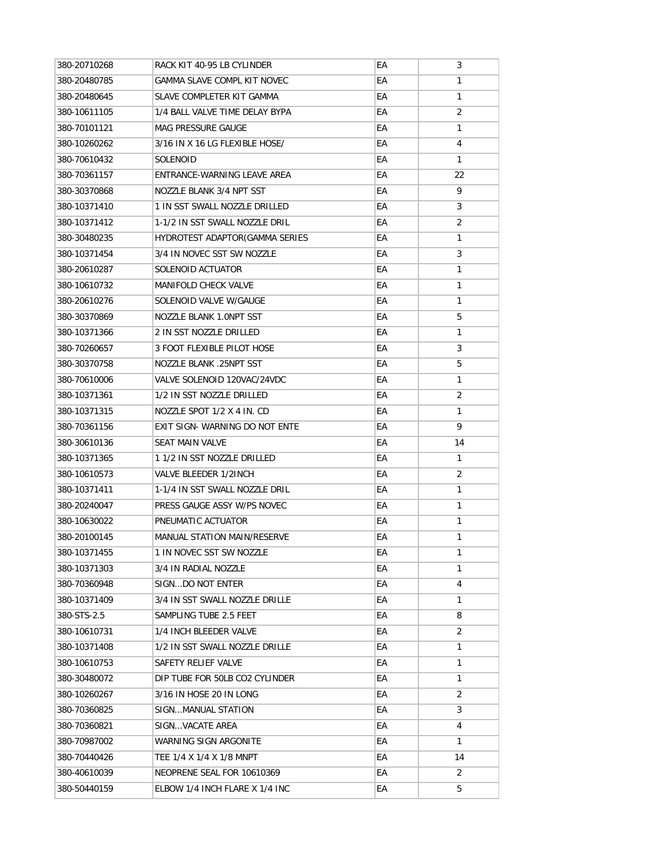| 380-20710268 | RACK KIT 40-95 LB CYLINDER         | EA | 3            |
|--------------|------------------------------------|----|--------------|
| 380-20480785 | <b>GAMMA SLAVE COMPL KIT NOVEC</b> | EA | 1            |
| 380-20480645 | SLAVE COMPLETER KIT GAMMA          | EА | $\mathbf{1}$ |
| 380-10611105 | 1/4 BALL VALVE TIME DELAY BYPA     | EA | 2            |
| 380-70101121 | <b>MAG PRESSURE GAUGE</b>          | EА | $\mathbf{1}$ |
| 380-10260262 | 3/16 IN X 16 LG FLEXIBLE HOSE/     | EA | 4            |
| 380-70610432 | <b>SOLENOID</b>                    | EA | $\mathbf{1}$ |
| 380-70361157 | ENTRANCE-WARNING LEAVE AREA        | EA | 22           |
| 380-30370868 | NOZZLE BLANK 3/4 NPT SST           | EА | 9            |
| 380-10371410 | 1 IN SST SWALL NOZZLE DRILLED      | EА | 3            |
| 380-10371412 | 1-1/2 IN SST SWALL NOZZLE DRIL     | EA | 2            |
| 380-30480235 | HYDROTEST ADAPTOR(GAMMA SERIES     | EА | $\mathbf{1}$ |
| 380-10371454 | 3/4 IN NOVEC SST SW NOZZLE         | EA | 3            |
| 380-20610287 | SOLENOID ACTUATOR                  | EA | $\mathbf{1}$ |
| 380-10610732 | <b>MANIFOLD CHECK VALVE</b>        | EА | 1            |
| 380-20610276 | SOLENOID VALVE W/GAUGE             | EА | $\mathbf{1}$ |
| 380-30370869 | <b>NOZZLE BLANK 1.0NPT SST</b>     | EA | 5            |
| 380-10371366 | 2 IN SST NOZZLE DRILLED            | EA | 1            |
| 380-70260657 | 3 FOOT FLEXIBLE PILOT HOSE         | EА | 3            |
| 380-30370758 | <b>NOZZLE BLANK .25NPT SST</b>     | EA | 5            |
| 380-70610006 | VALVE SOLENOID 120VAC/24VDC        | EA | $\mathbf{1}$ |
| 380-10371361 | 1/2 IN SST NOZZLE DRILLED          | EА | 2            |
| 380-10371315 | NOZZLE SPOT 1/2 X 4 IN. CD         | EA | $\mathbf{1}$ |
| 380-70361156 | EXIT SIGN-WARNING DO NOT ENTE      | EА | 9            |
| 380-30610136 | <b>SEAT MAIN VALVE</b>             | EA | 14           |
| 380-10371365 | 1 1/2 IN SST NOZZLE DRILLED        | EA | 1            |
| 380-10610573 | VALVE BLEEDER 1/2INCH              | EА | 2            |
| 380-10371411 | 1-1/4 IN SST SWALL NOZZLE DRIL     | EА | 1            |
| 380-20240047 | PRESS GAUGE ASSY W/PS NOVEC        | EА | $\mathbf{1}$ |
| 380-10630022 | PNEUMATIC ACTUATOR                 | EA | 1            |
| 380-20100145 | <b>MANUAL STATION MAIN/RESERVE</b> | EА | 1            |
| 380-10371455 | 1 IN NOVEC SST SW NOZZLE           | EА | 1            |
| 380-10371303 | 3/4 IN RADIAL NOZZLE               | EА | 1            |
| 380-70360948 | SIGNDO NOT ENTER                   | ЕA | 4            |
| 380-10371409 | 3/4 IN SST SWALL NOZZLE DRILLE     | ЕA | 1            |
| 380-STS-2.5  | SAMPLING TUBE 2.5 FEET             | ЕA | 8            |
| 380-10610731 | 1/4 INCH BLEEDER VALVE             | ЕA | 2            |
| 380-10371408 | 1/2 IN SST SWALL NOZZLE DRILLE     | EА | 1            |
| 380-10610753 | SAFETY RELIEF VALVE                | ЕA | $\mathbf{1}$ |
| 380-30480072 | DIP TUBE FOR 50LB CO2 CYLINDER     | EА | 1            |
| 380-10260267 | 3/16 IN HOSE 20 IN LONG            | ЕA | 2            |
| 380-70360825 | SIGNMANUAL STATION                 | ЕA | 3            |
| 380-70360821 | SIGNVACATE AREA                    | EА | 4            |
| 380-70987002 | WARNING SIGN ARGONITE              | EА | $\mathbf{1}$ |
| 380-70440426 | TEE 1/4 X 1/4 X 1/8 MNPT           | EА | 14           |
| 380-40610039 | NEOPRENE SEAL FOR 10610369         | ЕA | 2            |
| 380-50440159 | ELBOW 1/4 INCH FLARE X 1/4 INC     | ЕA | 5            |